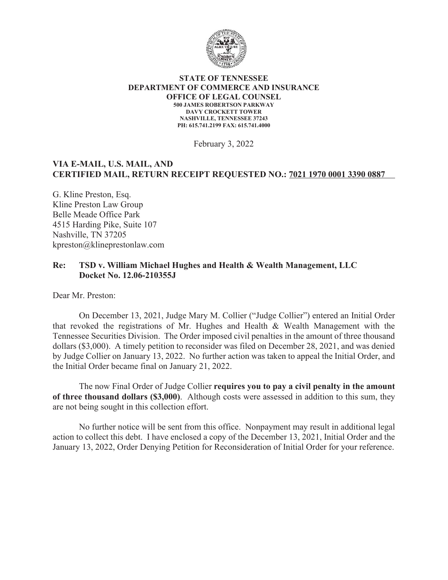

#### **STATE OF TENNESSEE DEPARTMENT OF COMMERCE AND INSURANCE OFFICE OF LEGAL COUNSEL 500 JAMES ROBERTSON PARKWAY DAVY CROCKETT TOWER NASHVILLE, TENNESSEE 37243 PH: 615.741.2199 FAX: 615.741.4000**

February 3, 2022

### **VIA E-MAIL, U.S. MAIL, AND CERTIFIED MAIL, RETURN RECEIPT REQUESTED NO.: 7021 1970 0001 3390 0887**

G. Kline Preston, Esq. Kline Preston Law Group Belle Meade Office Park 4515 Harding Pike, Suite 107 Nashville, TN 37205 kpreston@klineprestonlaw.com

### **Re: TSD v. William Michael Hughes and Health & Wealth Management, LLC Docket No. 12.06-210355J**

Dear Mr. Preston:

On December 13, 2021, Judge Mary M. Collier ("Judge Collier") entered an Initial Order that revoked the registrations of Mr. Hughes and Health & Wealth Management with the Tennessee Securities Division. The Order imposed civil penalties in the amount of three thousand dollars (\$3,000). A timely petition to reconsider was filed on December 28, 2021, and was denied by Judge Collier on January 13, 2022. No further action was taken to appeal the Initial Order, and the Initial Order became final on January 21, 2022.

The now Final Order of Judge Collier **requires you to pay a civil penalty in the amount of three thousand dollars (\$3,000)**. Although costs were assessed in addition to this sum, they are not being sought in this collection effort.

No further notice will be sent from this office. Nonpayment may result in additional legal action to collect this debt. I have enclosed a copy of the December 13, 2021, Initial Order and the January 13, 2022, Order Denying Petition for Reconsideration of Initial Order for your reference.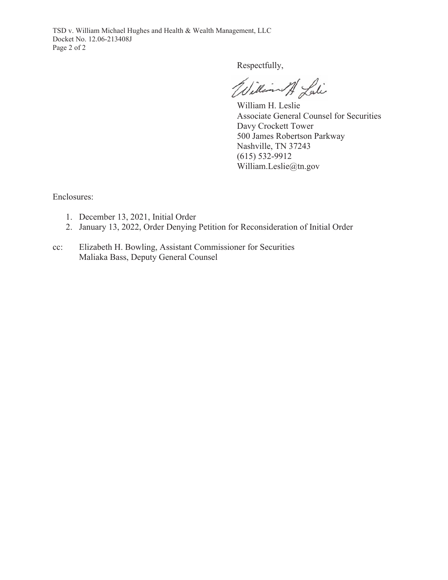TSD v. William Michael Hughes and Health & Wealth Management, LLC Docket No. 12.06-213408J Page 2 of 2

Respectfully,

William At Lati

William H. Leslie Associate General Counsel for Securities Davy Crockett Tower 500 James Robertson Parkway Nashville, TN 37243 (615) 532-9912 William.Leslie@tn.gov

Enclosures:

- 1. December 13, 2021, Initial Order
- 2. January 13, 2022, Order Denying Petition for Reconsideration of Initial Order
- cc: Elizabeth H. Bowling, Assistant Commissioner for Securities Maliaka Bass, Deputy General Counsel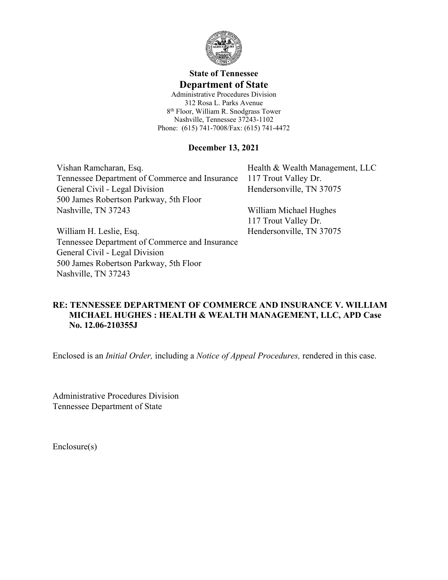

# **State of Tennessee Department of State**

Administrative Procedures Division 312 Rosa L. Parks Avenue 8 th Floor, William R. Snodgrass Tower Nashville, Tennessee 37243-1102 Phone: (615) 741-7008/Fax: (615) 741-4472

### **December 13, 2021**

Vishan Ramcharan, Esq. Tennessee Department of Commerce and Insurance General Civil - Legal Division 500 James Robertson Parkway, 5th Floor Nashville, TN 37243

Health & Wealth Management, LLC 117 Trout Valley Dr. Hendersonville, TN 37075

William Michael Hughes 117 Trout Valley Dr. Hendersonville, TN 37075

William H. Leslie, Esq. Tennessee Department of Commerce and Insurance General Civil - Legal Division 500 James Robertson Parkway, 5th Floor Nashville, TN 37243

## **RE: TENNESSEE DEPARTMENT OF COMMERCE AND INSURANCE V. WILLIAM MICHAEL HUGHES : HEALTH & WEALTH MANAGEMENT, LLC, APD Case No. 12.06-210355J**

Enclosed is an *Initial Order,* including a *Notice of Appeal Procedures,* rendered in this case.

Administrative Procedures Division Tennessee Department of State

Enclosure(s)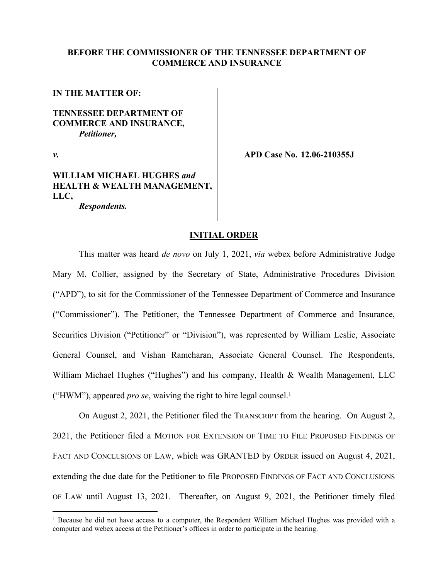#### **BEFORE THE COMMISSIONER OF THE TENNESSEE DEPARTMENT OF COMMERCE AND INSURANCE**

**IN THE MATTER OF:** 

### **TENNESSEE DEPARTMENT OF COMMERCE AND INSURANCE,** *Petitioner,*

*v.*

**APD Case No. 12.06-210355J**

## **WILLIAM MICHAEL HUGHES** *and* **HEALTH & WEALTH MANAGEMENT, LLC,**

*Respondents.*

#### **INITIAL ORDER**

This matter was heard *de novo* on July 1, 2021, *via* webex before Administrative Judge Mary M. Collier, assigned by the Secretary of State, Administrative Procedures Division ("APD"), to sit for the Commissioner of the Tennessee Department of Commerce and Insurance ("Commissioner"). The Petitioner, the Tennessee Department of Commerce and Insurance, Securities Division ("Petitioner" or "Division"), was represented by William Leslie, Associate General Counsel, and Vishan Ramcharan, Associate General Counsel. The Respondents, William Michael Hughes ("Hughes") and his company, Health & Wealth Management, LLC ("HWM"), appeared *pro se*, waiving the right to hire legal counsel.<sup>1</sup>

On August 2, 2021, the Petitioner filed the TRANSCRIPT from the hearing. On August 2, 2021, the Petitioner filed a MOTION FOR EXTENSION OF TIME TO FILE PROPOSED FINDINGS OF FACT AND CONCLUSIONS OF LAW, which was GRANTED by ORDER issued on August 4, 2021, extending the due date for the Petitioner to file PROPOSED FINDINGS OF FACT AND CONCLUSIONS OF LAW until August 13, 2021. Thereafter, on August 9, 2021, the Petitioner timely filed

<sup>&</sup>lt;sup>1</sup> Because he did not have access to a computer, the Respondent William Michael Hughes was provided with a computer and webex access at the Petitioner's offices in order to participate in the hearing.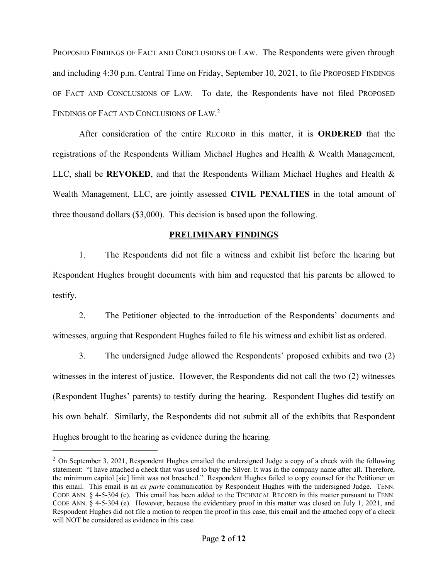PROPOSED FINDINGS OF FACT AND CONCLUSIONS OF LAW. The Respondents were given through and including 4:30 p.m. Central Time on Friday, September 10, 2021, to file PROPOSED FINDINGS OF FACT AND CONCLUSIONS OF LAW. To date, the Respondents have not filed PROPOSED FINDINGS OF FACT AND CONCLUSIONS OF LAW. 2

After consideration of the entire RECORD in this matter, it is **ORDERED** that the registrations of the Respondents William Michael Hughes and Health & Wealth Management, LLC, shall be **REVOKED**, and that the Respondents William Michael Hughes and Health & Wealth Management, LLC, are jointly assessed **CIVIL PENALTIES** in the total amount of three thousand dollars (\$3,000). This decision is based upon the following.

### **PRELIMINARY FINDINGS**

1. The Respondents did not file a witness and exhibit list before the hearing but Respondent Hughes brought documents with him and requested that his parents be allowed to testify.

2. The Petitioner objected to the introduction of the Respondents' documents and witnesses, arguing that Respondent Hughes failed to file his witness and exhibit list as ordered.

3. The undersigned Judge allowed the Respondents' proposed exhibits and two (2) witnesses in the interest of justice. However, the Respondents did not call the two (2) witnesses (Respondent Hughes' parents) to testify during the hearing. Respondent Hughes did testify on his own behalf. Similarly, the Respondents did not submit all of the exhibits that Respondent Hughes brought to the hearing as evidence during the hearing.

<sup>&</sup>lt;sup>2</sup> On September 3, 2021, Respondent Hughes emailed the undersigned Judge a copy of a check with the following statement: "I have attached a check that was used to buy the Silver. It was in the company name after all. Therefore, the minimum capitol [sic] limit was not breached." Respondent Hughes failed to copy counsel for the Petitioner on this email. This email is an *ex parte* communication by Respondent Hughes with the undersigned Judge. TENN. CODE ANN. § 4-5-304 (c). This email has been added to the TECHNICAL RECORD in this matter pursuant to TENN. CODE ANN. § 4-5-304 (e). However, because the evidentiary proof in this matter was closed on July 1, 2021, and Respondent Hughes did not file a motion to reopen the proof in this case, this email and the attached copy of a check will NOT be considered as evidence in this case.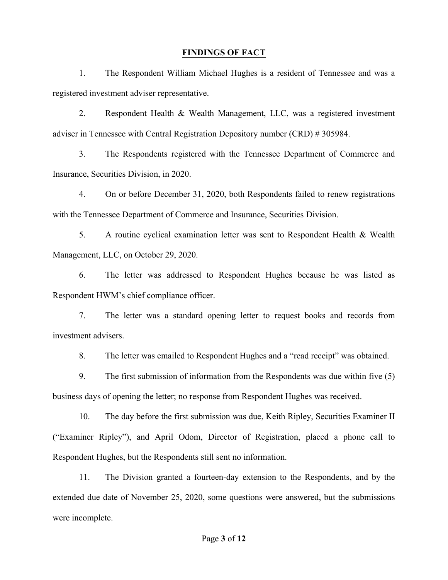#### **FINDINGS OF FACT**

1. The Respondent William Michael Hughes is a resident of Tennessee and was a registered investment adviser representative.

2. Respondent Health & Wealth Management, LLC, was a registered investment adviser in Tennessee with Central Registration Depository number (CRD) # 305984.

3. The Respondents registered with the Tennessee Department of Commerce and Insurance, Securities Division, in 2020.

4. On or before December 31, 2020, both Respondents failed to renew registrations with the Tennessee Department of Commerce and Insurance, Securities Division.

5. A routine cyclical examination letter was sent to Respondent Health & Wealth Management, LLC, on October 29, 2020.

6. The letter was addressed to Respondent Hughes because he was listed as Respondent HWM's chief compliance officer.

7. The letter was a standard opening letter to request books and records from investment advisers.

8. The letter was emailed to Respondent Hughes and a "read receipt" was obtained.

9. The first submission of information from the Respondents was due within five (5) business days of opening the letter; no response from Respondent Hughes was received.

10. The day before the first submission was due, Keith Ripley, Securities Examiner II ("Examiner Ripley"), and April Odom, Director of Registration, placed a phone call to Respondent Hughes, but the Respondents still sent no information.

11. The Division granted a fourteen-day extension to the Respondents, and by the extended due date of November 25, 2020, some questions were answered, but the submissions were incomplete.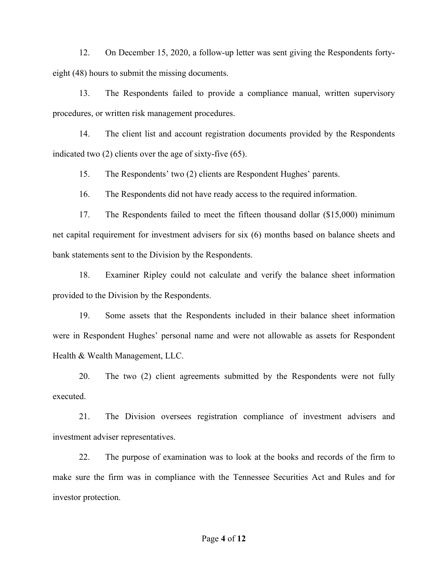12. On December 15, 2020, a follow-up letter was sent giving the Respondents fortyeight (48) hours to submit the missing documents.

13. The Respondents failed to provide a compliance manual, written supervisory procedures, or written risk management procedures.

14. The client list and account registration documents provided by the Respondents indicated two (2) clients over the age of sixty-five (65).

15. The Respondents' two (2) clients are Respondent Hughes' parents.

16. The Respondents did not have ready access to the required information.

17. The Respondents failed to meet the fifteen thousand dollar (\$15,000) minimum net capital requirement for investment advisers for six (6) months based on balance sheets and bank statements sent to the Division by the Respondents.

18. Examiner Ripley could not calculate and verify the balance sheet information provided to the Division by the Respondents.

19. Some assets that the Respondents included in their balance sheet information were in Respondent Hughes' personal name and were not allowable as assets for Respondent Health & Wealth Management, LLC.

20. The two (2) client agreements submitted by the Respondents were not fully executed.

21. The Division oversees registration compliance of investment advisers and investment adviser representatives.

22. The purpose of examination was to look at the books and records of the firm to make sure the firm was in compliance with the Tennessee Securities Act and Rules and for investor protection.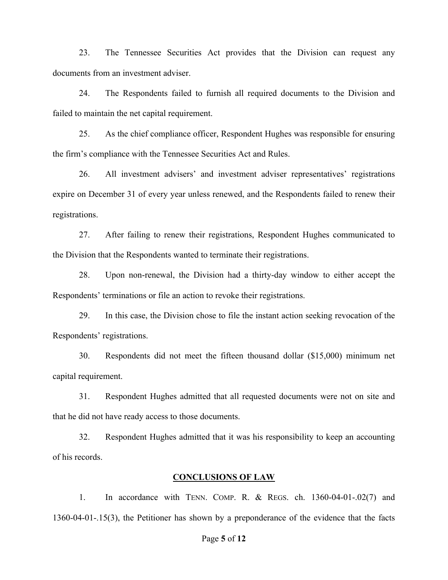23. The Tennessee Securities Act provides that the Division can request any documents from an investment adviser.

24. The Respondents failed to furnish all required documents to the Division and failed to maintain the net capital requirement.

25. As the chief compliance officer, Respondent Hughes was responsible for ensuring the firm's compliance with the Tennessee Securities Act and Rules.

26. All investment advisers' and investment adviser representatives' registrations expire on December 31 of every year unless renewed, and the Respondents failed to renew their registrations.

27. After failing to renew their registrations, Respondent Hughes communicated to the Division that the Respondents wanted to terminate their registrations.

28. Upon non-renewal, the Division had a thirty-day window to either accept the Respondents' terminations or file an action to revoke their registrations.

29. In this case, the Division chose to file the instant action seeking revocation of the Respondents' registrations.

30. Respondents did not meet the fifteen thousand dollar (\$15,000) minimum net capital requirement.

31. Respondent Hughes admitted that all requested documents were not on site and that he did not have ready access to those documents.

32. Respondent Hughes admitted that it was his responsibility to keep an accounting of his records.

#### **CONCLUSIONS OF LAW**

1. In accordance with TENN. COMP. R. & REGS. ch. 1360-04-01-.02(7) and 1360-04-01-.15(3), the Petitioner has shown by a preponderance of the evidence that the facts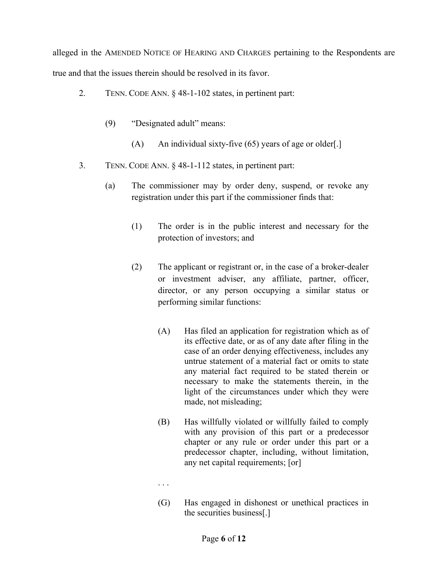alleged in the AMENDED NOTICE OF HEARING AND CHARGES pertaining to the Respondents are true and that the issues therein should be resolved in its favor.

- 2. TENN. CODE ANN. § 48-1-102 states, in pertinent part:
	- (9) "Designated adult" means:
		- (A) An individual sixty-five  $(65)$  years of age or older[.]
- 3. TENN. CODE ANN. § 48-1-112 states, in pertinent part:
	- (a) The commissioner may by order deny, suspend, or revoke any registration under this part if the commissioner finds that:
		- (1) The order is in the public interest and necessary for the protection of investors; and
		- (2) The applicant or registrant or, in the case of a broker-dealer or investment adviser, any affiliate, partner, officer, director, or any person occupying a similar status or performing similar functions:
			- (A) Has filed an application for registration which as of its effective date, or as of any date after filing in the case of an order denying effectiveness, includes any untrue statement of a material fact or omits to state any material fact required to be stated therein or necessary to make the statements therein, in the light of the circumstances under which they were made, not misleading;
			- (B) Has willfully violated or willfully failed to comply with any provision of this part or a predecessor chapter or any rule or order under this part or a predecessor chapter, including, without limitation, any net capital requirements; [or]
			- . . .
			- (G) Has engaged in dishonest or unethical practices in the securities business[.]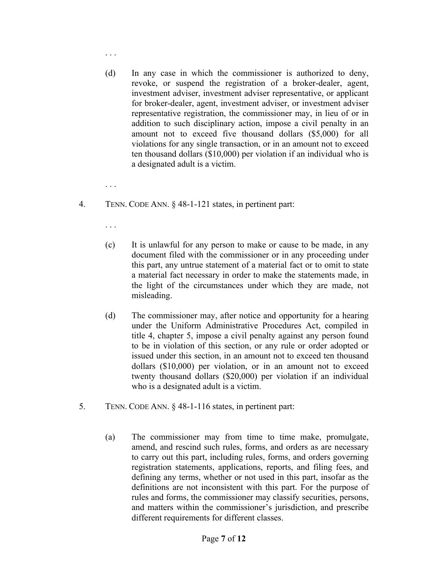- (d) In any case in which the commissioner is authorized to deny, revoke, or suspend the registration of a broker-dealer, agent, investment adviser, investment adviser representative, or applicant for broker-dealer, agent, investment adviser, or investment adviser representative registration, the commissioner may, in lieu of or in addition to such disciplinary action, impose a civil penalty in an
	- amount not to exceed five thousand dollars (\$5,000) for all violations for any single transaction, or in an amount not to exceed ten thousand dollars (\$10,000) per violation if an individual who is a designated adult is a victim.
- 4. TENN. CODE ANN. § 48-1-121 states, in pertinent part:

. . .

. . .

. . .

- (c) It is unlawful for any person to make or cause to be made, in any document filed with the commissioner or in any proceeding under this part, any untrue statement of a material fact or to omit to state a material fact necessary in order to make the statements made, in the light of the circumstances under which they are made, not misleading.
- (d) The commissioner may, after notice and opportunity for a hearing under the Uniform Administrative Procedures Act, compiled in title 4, chapter 5, impose a civil penalty against any person found to be in violation of this section, or any rule or order adopted or issued under this section, in an amount not to exceed ten thousand dollars (\$10,000) per violation, or in an amount not to exceed twenty thousand dollars (\$20,000) per violation if an individual who is a designated adult is a victim.
- 5. TENN. CODE ANN. § 48-1-116 states, in pertinent part:
	- (a) The commissioner may from time to time make, promulgate, amend, and rescind such rules, forms, and orders as are necessary to carry out this part, including rules, forms, and orders governing registration statements, applications, reports, and filing fees, and defining any terms, whether or not used in this part, insofar as the definitions are not inconsistent with this part. For the purpose of rules and forms, the commissioner may classify securities, persons, and matters within the commissioner's jurisdiction, and prescribe different requirements for different classes.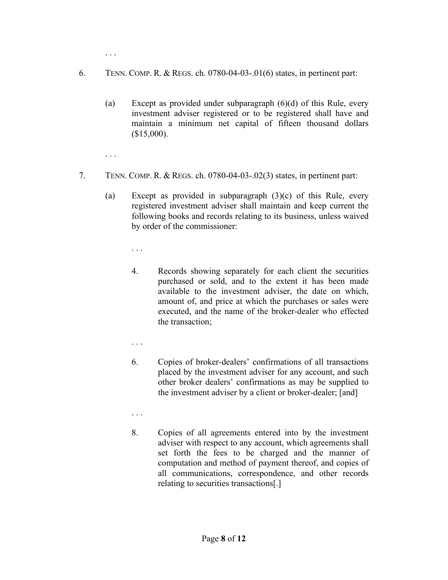. . .

- 6. TENN. COMP. R. & REGS. ch. 0780-04-03-.01(6) states, in pertinent part:
	- (a) Except as provided under subparagraph  $(6)(d)$  of this Rule, every investment adviser registered or to be registered shall have and maintain a minimum net capital of fifteen thousand dollars  $($15,000)$ .
	- . . .
- 7. TENN. COMP. R. & REGS. ch. 0780-04-03-.02(3) states, in pertinent part:
	- (a) Except as provided in subparagraph (3)(c) of this Rule, every registered investment adviser shall maintain and keep current the following books and records relating to its business, unless waived by order of the commissioner:

. . .

- 4. Records showing separately for each client the securities purchased or sold, and to the extent it has been made available to the investment adviser, the date on which, amount of, and price at which the purchases or sales were executed, and the name of the broker-dealer who effected the transaction;
- . . .
- 6. Copies of broker-dealers' confirmations of all transactions placed by the investment adviser for any account, and such other broker dealers' confirmations as may be supplied to the investment adviser by a client or broker-dealer; [and]
- . . .
- 8. Copies of all agreements entered into by the investment adviser with respect to any account, which agreements shall set forth the fees to be charged and the manner of computation and method of payment thereof, and copies of all communications, correspondence, and other records relating to securities transactions[.]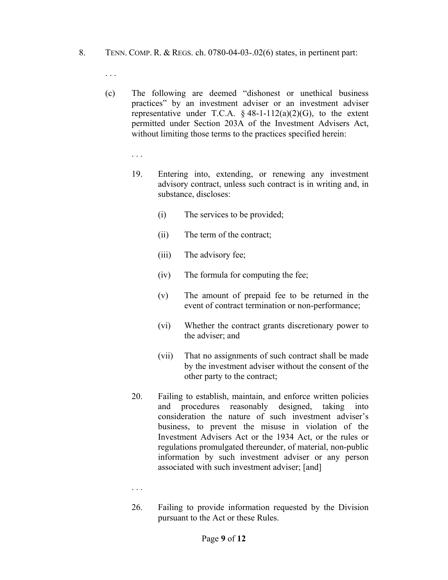- 8. TENN. COMP. R. & REGS. ch. 0780-04-03-.02(6) states, in pertinent part:
	- . . .
	- (c) The following are deemed "dishonest or unethical business practices" by an investment adviser or an investment adviser representative under T.C.A.  $\S$  48-1-112(a)(2)(G), to the extent permitted under Section 203A of the Investment Advisers Act, without limiting those terms to the practices specified herein:

. . .

- 19. Entering into, extending, or renewing any investment advisory contract, unless such contract is in writing and, in substance, discloses:
	- (i) The services to be provided;
	- (ii) The term of the contract;
	- (iii) The advisory fee;
	- (iv) The formula for computing the fee;
	- (v) The amount of prepaid fee to be returned in the event of contract termination or non-performance;
	- (vi) Whether the contract grants discretionary power to the adviser; and
	- (vii) That no assignments of such contract shall be made by the investment adviser without the consent of the other party to the contract;
- 20. Failing to establish, maintain, and enforce written policies and procedures reasonably designed, taking into consideration the nature of such investment adviser's business, to prevent the misuse in violation of the Investment Advisers Act or the 1934 Act, or the rules or regulations promulgated thereunder, of material, non-public information by such investment adviser or any person associated with such investment adviser; [and]

. . .

26. Failing to provide information requested by the Division pursuant to the Act or these Rules.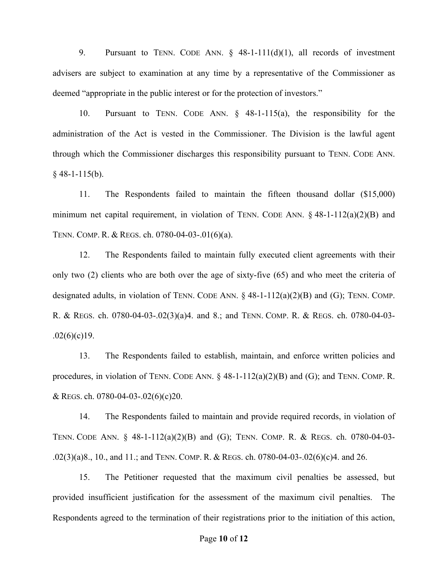9. Pursuant to TENN. CODE ANN.  $\S$  48-1-111(d)(1), all records of investment advisers are subject to examination at any time by a representative of the Commissioner as deemed "appropriate in the public interest or for the protection of investors."

10. Pursuant to TENN. CODE ANN. § 48-1-115(a), the responsibility for the administration of the Act is vested in the Commissioner. The Division is the lawful agent through which the Commissioner discharges this responsibility pursuant to TENN. CODE ANN.  $§$  48-1-115(b).

11. The Respondents failed to maintain the fifteen thousand dollar (\$15,000) minimum net capital requirement, in violation of TENN. CODE ANN.  $\S$  48-1-112(a)(2)(B) and TENN. COMP. R. & REGS. ch. 0780-04-03-.01(6)(a).

12. The Respondents failed to maintain fully executed client agreements with their only two (2) clients who are both over the age of sixty-five (65) and who meet the criteria of designated adults, in violation of TENN. CODE ANN.  $\S$  48-1-112(a)(2)(B) and (G); TENN. COMP. R. & REGS. ch. 0780-04-03-.02(3)(a)4. and 8.; and TENN. COMP. R. & REGS. ch. 0780-04-03-  $.02(6)(c)19.$ 

13. The Respondents failed to establish, maintain, and enforce written policies and procedures, in violation of TENN. CODE ANN.  $\S$  48-1-112(a)(2)(B) and (G); and TENN. COMP. R. & REGS. ch. 0780-04-03-.02(6)(c)20.

14. The Respondents failed to maintain and provide required records, in violation of TENN. CODE ANN. § 48-1-112(a)(2)(B) and (G); TENN. COMP. R. & REGS. ch. 0780-04-03- .02(3)(a)8., 10., and 11.; and TENN. COMP. R. & REGS. ch. 0780-04-03-.02(6)(c)4. and 26.

15. The Petitioner requested that the maximum civil penalties be assessed, but provided insufficient justification for the assessment of the maximum civil penalties. The Respondents agreed to the termination of their registrations prior to the initiation of this action,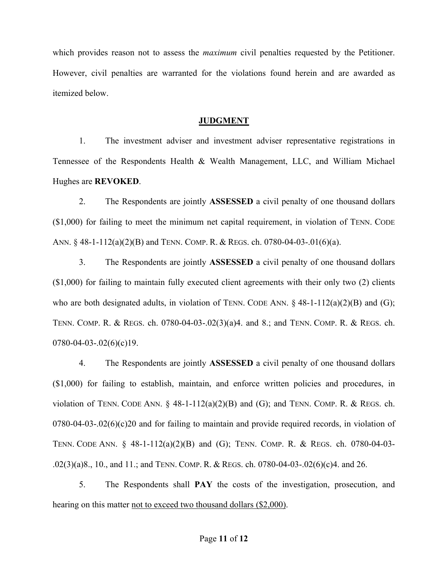which provides reason not to assess the *maximum* civil penalties requested by the Petitioner. However, civil penalties are warranted for the violations found herein and are awarded as itemized below.

#### **JUDGMENT**

1. The investment adviser and investment adviser representative registrations in Tennessee of the Respondents Health & Wealth Management, LLC, and William Michael Hughes are **REVOKED**.

2. The Respondents are jointly **ASSESSED** a civil penalty of one thousand dollars (\$1,000) for failing to meet the minimum net capital requirement, in violation of TENN. CODE ANN. § 48-1-112(a)(2)(B) and TENN. COMP. R. & REGS. ch. 0780-04-03-.01(6)(a).

3. The Respondents are jointly **ASSESSED** a civil penalty of one thousand dollars (\$1,000) for failing to maintain fully executed client agreements with their only two (2) clients who are both designated adults, in violation of TENN. CODE ANN.  $\S$  48-1-112(a)(2)(B) and (G); TENN. COMP. R. & REGS. ch. 0780-04-03-.02(3)(a)4. and 8.; and TENN. COMP. R. & REGS. ch.  $0780 - 04 - 03 - 02(6)(c)19$ .

4. The Respondents are jointly **ASSESSED** a civil penalty of one thousand dollars (\$1,000) for failing to establish, maintain, and enforce written policies and procedures, in violation of TENN. CODE ANN.  $\S$  48-1-112(a)(2)(B) and (G); and TENN. COMP. R. & REGS. ch.  $0780-04-03-.02(6)(c)20$  and for failing to maintain and provide required records, in violation of TENN. CODE ANN. § 48-1-112(a)(2)(B) and (G); TENN. COMP. R. & REGS. ch. 0780-04-03- .02(3)(a)8., 10., and 11.; and TENN. COMP. R. & REGS. ch. 0780-04-03-.02(6)(c)4. and 26.

5. The Respondents shall **PAY** the costs of the investigation, prosecution, and hearing on this matter not to exceed two thousand dollars (\$2,000).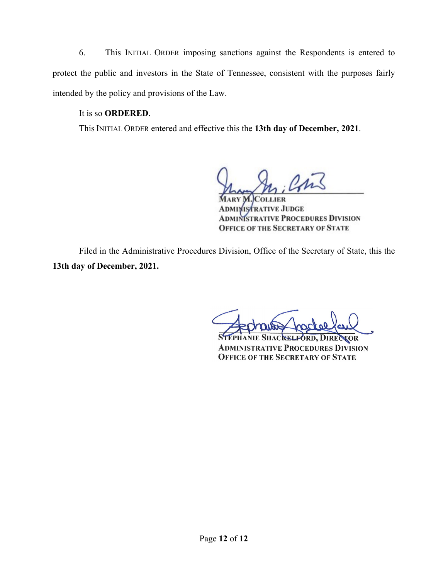6. This INITIAL ORDER imposing sanctions against the Respondents is entered to protect the public and investors in the State of Tennessee, consistent with the purposes fairly intended by the policy and provisions of the Law.

## It is so **ORDERED**.

This INITIAL ORDER entered and effective this the **13th day of December, 2021**.

**COLLIER ADMINISTRATIVE JUDGE MINISTRATIVE PROCEDURES DIVISION OFFICE OF THE SECRETARY OF STATE** 

Filed in the Administrative Procedures Division, Office of the Secretary of State, this the **13th day of December, 2021.**

**TOR ADMINISTRATIVE PROCEDURES DIVISION OFFICE OF THE SECRETARY OF STATE**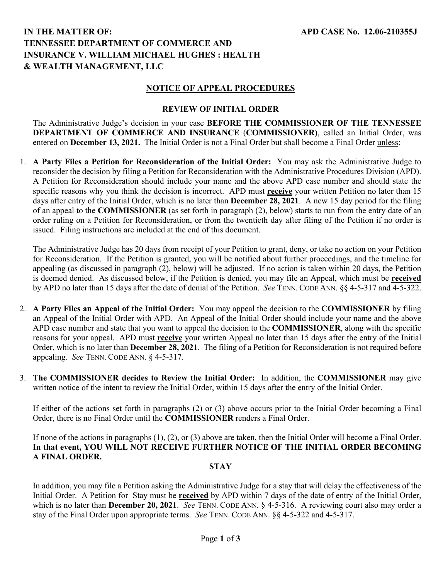# **IN THE MATTER OF: TENNESSEE DEPARTMENT OF COMMERCE AND INSURANCE V. WILLIAM MICHAEL HUGHES : HEALTH & WEALTH MANAGEMENT, LLC**

### **NOTICE OF APPEAL PROCEDURES**

#### **REVIEW OF INITIAL ORDER**

The Administrative Judge's decision in your case **BEFORE THE COMMISSIONER OF THE TENNESSEE DEPARTMENT OF COMMERCE AND INSURANCE** (**COMMISSIONER)**, called an Initial Order, was entered on **December 13, 2021.** The Initial Order is not a Final Order but shall become a Final Order unless:

1. **A Party Files a Petition for Reconsideration of the Initial Order:** You may ask the Administrative Judge to reconsider the decision by filing a Petition for Reconsideration with the Administrative Procedures Division (APD). A Petition for Reconsideration should include your name and the above APD case number and should state the specific reasons why you think the decision is incorrect. APD must **receive** your written Petition no later than 15 days after entry of the Initial Order, which is no later than **December 28, 2021**.A new 15 day period for the filing of an appeal to the **COMMISSIONER** (as set forth in paragraph (2), below) starts to run from the entry date of an order ruling on a Petition for Reconsideration, or from the twentieth day after filing of the Petition if no order is issued. Filing instructions are included at the end of this document.

The Administrative Judge has 20 days from receipt of your Petition to grant, deny, or take no action on your Petition for Reconsideration. If the Petition is granted, you will be notified about further proceedings, and the timeline for appealing (as discussed in paragraph (2), below) will be adjusted. If no action is taken within 20 days, the Petition is deemed denied. As discussed below, if the Petition is denied, you may file an Appeal, which must be **received** by APD no later than 15 days after the date of denial of the Petition. *See* TENN. CODE ANN. §§ 4-5-317 and 4-5-322.

- 2. **A Party Files an Appeal of the Initial Order:** You may appeal the decision to the **COMMISSIONER** by filing an Appeal of the Initial Order with APD.An Appeal of the Initial Order should include your name and the above APD case number and state that you want to appeal the decision to the **COMMISSIONER**, along with the specific reasons for your appeal. APD must **receive** your written Appeal no later than 15 days after the entry of the Initial Order, which is no later than **December 28, 2021**.The filing of a Petition for Reconsideration is not required before appealing. *See* TENN. CODE ANN. § 4-5-317.
- 3. **The COMMISSIONER decides to Review the Initial Order:** In addition, the **COMMISSIONER** may give written notice of the intent to review the Initial Order, within 15 days after the entry of the Initial Order.

If either of the actions set forth in paragraphs (2) or (3) above occurs prior to the Initial Order becoming a Final Order, there is no Final Order until the **COMMISSIONER** renders a Final Order.

If none of the actions in paragraphs (1), (2), or (3) above are taken, then the Initial Order will become a Final Order. **In that event, YOU WILL NOT RECEIVE FURTHER NOTICE OF THE INITIAL ORDER BECOMING A FINAL ORDER.**

#### **STAY**

In addition, you may file a Petition asking the Administrative Judge for a stay that will delay the effectiveness of the Initial Order. A Petition for Stay must be **received** by APD within 7 days of the date of entry of the Initial Order, which is no later than **December 20, 2021**. *See* TENN. CODE ANN. § 4-5-316. A reviewing court also may order a stay of the Final Order upon appropriate terms. *See* TENN. CODE ANN. §§ 4-5-322 and 4-5-317.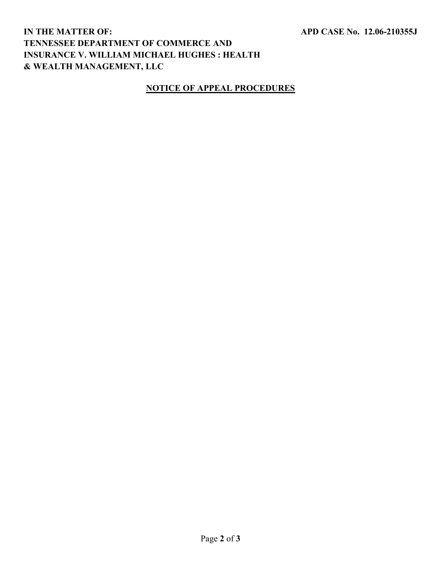# **IN THE MATTER OF: TENNESSEE DEPARTMENT OF COMMERCE AND INSURANCE V. WILLIAM MICHAEL HUGHES : HEALTH & WEALTH MANAGEMENT, LLC**

## **NOTICE OF APPEAL PROCEDURES**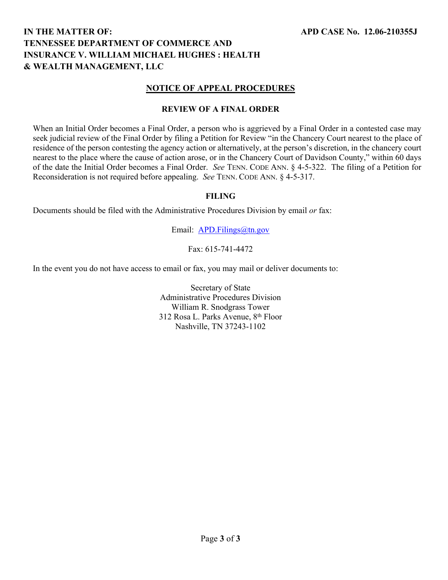# **IN THE MATTER OF: TENNESSEE DEPARTMENT OF COMMERCE AND INSURANCE V. WILLIAM MICHAEL HUGHES : HEALTH & WEALTH MANAGEMENT, LLC**

### **NOTICE OF APPEAL PROCEDURES**

### **REVIEW OF A FINAL ORDER**

When an Initial Order becomes a Final Order, a person who is aggrieved by a Final Order in a contested case may seek judicial review of the Final Order by filing a Petition for Review "in the Chancery Court nearest to the place of residence of the person contesting the agency action or alternatively, at the person's discretion, in the chancery court nearest to the place where the cause of action arose, or in the Chancery Court of Davidson County," within 60 days of the date the Initial Order becomes a Final Order. *See* TENN. CODE ANN. § 4-5-322. The filing of a Petition for Reconsideration is not required before appealing. *See* TENN. CODE ANN. § 4-5-317.

### **FILING**

Documents should be filed with the Administrative Procedures Division by email *or* fax:

Email: [APD.Filings@tn.gov](mailto:APD.Filings@tn.gov)

Fax: 615-741-4472

In the event you do not have access to email or fax, you may mail or deliver documents to:

Secretary of State Administrative Procedures Division William R. Snodgrass Tower 312 Rosa L. Parks Avenue, 8<sup>th</sup> Floor Nashville, TN 37243-1102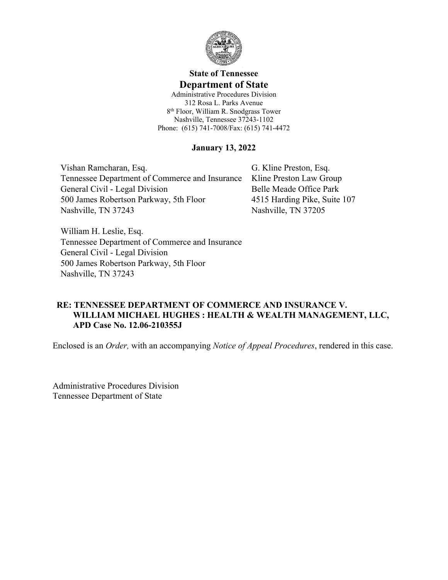

# **State of Tennessee Department of State**

Administrative Procedures Division 312 Rosa L. Parks Avenue 8 th Floor, William R. Snodgrass Tower Nashville, Tennessee 37243-1102 Phone: (615) 741-7008/Fax: (615) 741-4472

### **January 13, 2022**

Vishan Ramcharan, Esq. Tennessee Department of Commerce and Insurance General Civil - Legal Division 500 James Robertson Parkway, 5th Floor Nashville, TN 37243

G. Kline Preston, Esq. Kline Preston Law Group Belle Meade Office Park 4515 Harding Pike, Suite 107 Nashville, TN 37205

William H. Leslie, Esq. Tennessee Department of Commerce and Insurance General Civil - Legal Division 500 James Robertson Parkway, 5th Floor Nashville, TN 37243

## **RE: TENNESSEE DEPARTMENT OF COMMERCE AND INSURANCE V. WILLIAM MICHAEL HUGHES : HEALTH & WEALTH MANAGEMENT, LLC, APD Case No. 12.06-210355J**

Enclosed is an *Order,* with an accompanying *Notice of Appeal Procedures*, rendered in this case.

Administrative Procedures Division Tennessee Department of State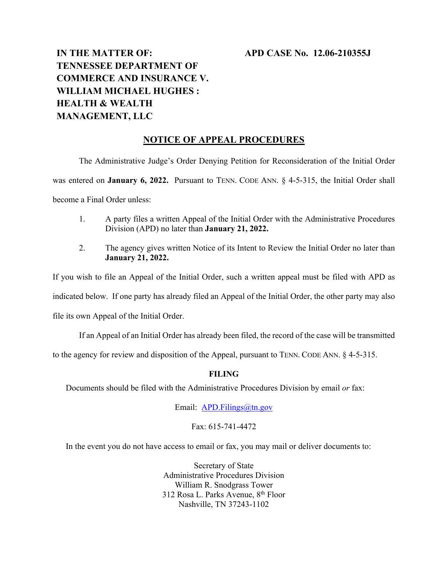### **APD CASE No. 12.06-210355J**

# **IN THE MATTER OF: TENNESSEE DEPARTMENT OF COMMERCE AND INSURANCE V. WILLIAM MICHAEL HUGHES : HEALTH & WEALTH MANAGEMENT, LLC**

### **NOTICE OF APPEAL PROCEDURES**

The Administrative Judge's Order Denying Petition for Reconsideration of the Initial Order was entered on **January 6, 2022.** Pursuant to TENN. CODE ANN. § 4-5-315, the Initial Order shall become a Final Order unless:

- 1. A party files a written Appeal of the Initial Order with the Administrative Procedures Division (APD) no later than **January 21, 2022.**
- 2. The agency gives written Notice of its Intent to Review the Initial Order no later than **January 21, 2022.**

If you wish to file an Appeal of the Initial Order, such a written appeal must be filed with APD as indicated below. If one party has already filed an Appeal of the Initial Order, the other party may also file its own Appeal of the Initial Order.

If an Appeal of an Initial Order has already been filed, the record of the case will be transmitted

to the agency for review and disposition of the Appeal, pursuant to TENN. CODE ANN. § 4-5-315.

#### **FILING**

Documents should be filed with the Administrative Procedures Division by email *or* fax:

Email: [APD.Filings@tn.gov](mailto:APD.Filings@tn.gov)

Fax: 615-741-4472

In the event you do not have access to email or fax, you may mail or deliver documents to:

Secretary of State Administrative Procedures Division William R. Snodgrass Tower 312 Rosa L. Parks Avenue, 8<sup>th</sup> Floor Nashville, TN 37243-1102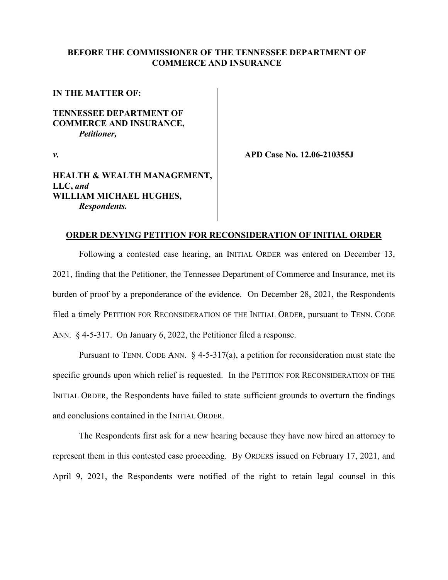### **BEFORE THE COMMISSIONER OF THE TENNESSEE DEPARTMENT OF COMMERCE AND INSURANCE**

**IN THE MATTER OF:** 

### **TENNESSEE DEPARTMENT OF COMMERCE AND INSURANCE,** *Petitioner,*

*v.*

**APD Case No. 12.06-210355J**

### **HEALTH & WEALTH MANAGEMENT, LLC,** *and* **WILLIAM MICHAEL HUGHES,** *Respondents.*

#### **ORDER DENYING PETITION FOR RECONSIDERATION OF INITIAL ORDER**

Following a contested case hearing, an INITIAL ORDER was entered on December 13, 2021, finding that the Petitioner, the Tennessee Department of Commerce and Insurance, met its burden of proof by a preponderance of the evidence. On December 28, 2021, the Respondents filed a timely PETITION FOR RECONSIDERATION OF THE INITIAL ORDER, pursuant to TENN. CODE ANN. § 4-5-317. On January 6, 2022, the Petitioner filed a response.

Pursuant to TENN. CODE ANN. § 4-5-317(a), a petition for reconsideration must state the specific grounds upon which relief is requested. In the PETITION FOR RECONSIDERATION OF THE INITIAL ORDER, the Respondents have failed to state sufficient grounds to overturn the findings and conclusions contained in the INITIAL ORDER.

The Respondents first ask for a new hearing because they have now hired an attorney to represent them in this contested case proceeding. By ORDERS issued on February 17, 2021, and April 9, 2021, the Respondents were notified of the right to retain legal counsel in this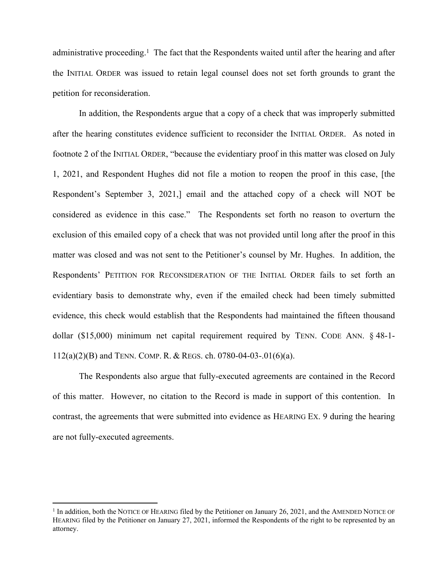administrative proceeding.<sup>1</sup> The fact that the Respondents waited until after the hearing and after the INITIAL ORDER was issued to retain legal counsel does not set forth grounds to grant the petition for reconsideration.

In addition, the Respondents argue that a copy of a check that was improperly submitted after the hearing constitutes evidence sufficient to reconsider the INITIAL ORDER. As noted in footnote 2 of the INITIAL ORDER, "because the evidentiary proof in this matter was closed on July 1, 2021, and Respondent Hughes did not file a motion to reopen the proof in this case, [the Respondent's September 3, 2021,] email and the attached copy of a check will NOT be considered as evidence in this case." The Respondents set forth no reason to overturn the exclusion of this emailed copy of a check that was not provided until long after the proof in this matter was closed and was not sent to the Petitioner's counsel by Mr. Hughes. In addition, the Respondents' PETITION FOR RECONSIDERATION OF THE INITIAL ORDER fails to set forth an evidentiary basis to demonstrate why, even if the emailed check had been timely submitted evidence, this check would establish that the Respondents had maintained the fifteen thousand dollar (\$15,000) minimum net capital requirement required by TENN. CODE ANN. § 48-1- 112(a)(2)(B) and TENN. COMP. R. & REGS. ch. 0780-04-03-.01(6)(a).

The Respondents also argue that fully-executed agreements are contained in the Record of this matter. However, no citation to the Record is made in support of this contention. In contrast, the agreements that were submitted into evidence as HEARING EX. 9 during the hearing are not fully-executed agreements.

<sup>&</sup>lt;sup>1</sup> In addition, both the NOTICE OF HEARING filed by the Petitioner on January 26, 2021, and the AMENDED NOTICE OF HEARING filed by the Petitioner on January 27, 2021, informed the Respondents of the right to be represented by an attorney.